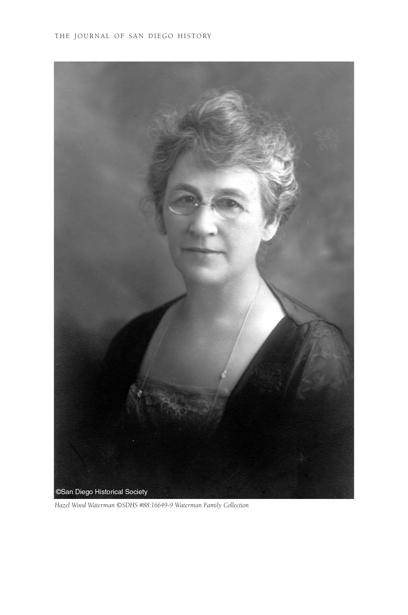

*Hazel Wood Waterman ©SDHS #88:16649-9 Waterman Family Collection*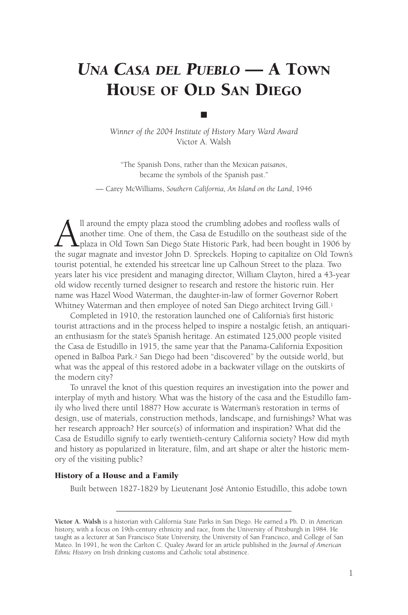# *UNA CASA DEL PUEBLO* — A TOWN HOUSE OF OLD SAN DIEGO

■

*Winner of the 2004 Institute of History Mary Ward Award*  Victor A. Walsh

"The Spanish Dons, rather than the Mexican *paisanos*, became the symbols of the Spanish past."

— Carey McWilliams, *Southern California, An Island on the Land*, 1946

All around the empty plaza stood the crumbling adobes and roofless walls of another time. One of them, the Casa de Estudillo on the southeast side of the sugar magnate and investor John D. Spreckels. Hoping to capitalize o another time. One of them, the Casa de Estudillo on the southeast side of the **L** plaza in Old Town San Diego State Historic Park, had been bought in 1906 by the sugar magnate and investor John D. Spreckels. Hoping to capitalize on Old Town's tourist potential, he extended his streetcar line up Calhoun Street to the plaza. Two years later his vice president and managing director, William Clayton, hired a 43-year old widow recently turned designer to research and restore the historic ruin. Her name was Hazel Wood Waterman, the daughter-in-law of former Governor Robert Whitney Waterman and then employee of noted San Diego architect Irving Gill.<sup>1</sup>

Completed in 1910, the restoration launched one of California's first historic tourist attractions and in the process helped to inspire a nostalgic fetish, an antiquarian enthusiasm for the state's Spanish heritage. An estimated 125,000 people visited the Casa de Estudillo in 1915, the same year that the Panama-California Exposition opened in Balboa Park.2 San Diego had been "discovered" by the outside world, but what was the appeal of this restored adobe in a backwater village on the outskirts of the modern city?

To unravel the knot of this question requires an investigation into the power and interplay of myth and history. What was the history of the casa and the Estudillo family who lived there until 1887? How accurate is Waterman's restoration in terms of design, use of materials, construction methods, landscape, and furnishings? What was her research approach? Her source(s) of information and inspiration? What did the Casa de Estudillo signify to early twentieth-century California society? How did myth and history as popularized in literature, film, and art shape or alter the historic memory of the visiting public?

### History of a House and a Family

Built between 1827-1829 by Lieutenant José Antonio Estudillo, this adobe town

**Victor A. Walsh** is a historian with California State Parks in San Diego. He earned a Ph. D. in American history, with a focus on 19th-century ethnicity and race, from the University of Pittsburgh in 1984. He taught as a lecturer at San Francisco State University, the University of San Francisco, and College of San Mateo. In 1991, he won the Carlton C. Qualey Award for an article published in the *Journal of American Ethnic History* on Irish drinking customs and Catholic total abstinence.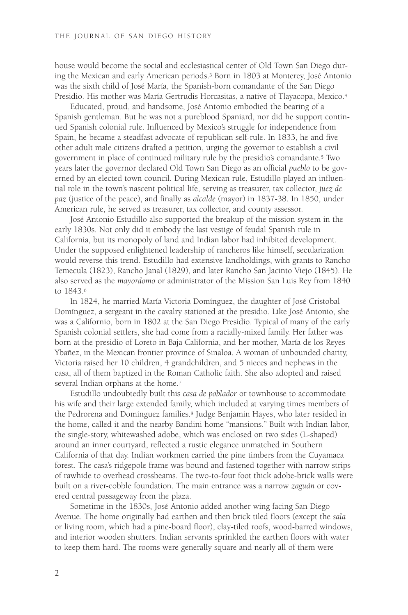house would become the social and ecclesiastical center of Old Town San Diego during the Mexican and early American periods.3 Born in 1803 at Monterey, José Antonio was the sixth child of José María, the Spanish-born comandante of the San Diego Presidio. His mother was María Gertrudis Horcasitas, a native of Tlayacopa, Mexico.4

Educated, proud, and handsome, José Antonio embodied the bearing of a Spanish gentleman. But he was not a pureblood Spaniard, nor did he support continued Spanish colonial rule. Influenced by Mexico's struggle for independence from Spain, he became a steadfast advocate of republican self-rule. In 1833, he and five other adult male citizens drafted a petition, urging the governor to establish a civil government in place of continued military rule by the presidio's comandante.5 Two years later the governor declared Old Town San Diego as an official *pueblo* to be governed by an elected town council. During Mexican rule, Estudillo played an influential role in the town's nascent political life, serving as treasurer, tax collector, *juez de paz* (justice of the peace), and finally as *alcalde* (mayor) in 1837-38. In 1850, under American rule, he served as treasurer, tax collector, and county assessor.

José Antonio Estudillo also supported the breakup of the mission system in the early 1830s. Not only did it embody the last vestige of feudal Spanish rule in California, but its monopoly of land and Indian labor had inhibited development. Under the supposed enlightened leadership of rancheros like himself, secularization would reverse this trend. Estudillo had extensive landholdings, with grants to Rancho Temecula (1823), Rancho Janal (1829), and later Rancho San Jacinto Viejo (1845). He also served as the *mayordomo* or administrator of the Mission San Luis Rey from 1840 to 1843.6

In 1824, he married María Victoria Domínguez, the daughter of José Cristobal Domínguez, a sergeant in the cavalry stationed at the presidio. Like José Antonio, she was a Californio, born in 1802 at the San Diego Presidio. Typical of many of the early Spanish colonial settlers, she had come from a racially-mixed family. Her father was born at the presidio of Loreto in Baja California, and her mother, María de los Reyes Ybañez, in the Mexican frontier province of Sinaloa. A woman of unbounded charity, Victoria raised her 10 children, 4 grandchildren, and 5 nieces and nephews in the casa, all of them baptized in the Roman Catholic faith. She also adopted and raised several Indian orphans at the home.7

Estudillo undoubtedly built this *casa de poblador* or townhouse to accommodate his wife and their large extended family, which included at varying times members of the Pedrorena and Domínguez families.8 Judge Benjamin Hayes, who later resided in the home, called it and the nearby Bandini home "mansions." Built with Indian labor, the single-story, whitewashed adobe, which was enclosed on two sides (L-shaped) around an inner courtyard, reflected a rustic elegance unmatched in Southern California of that day. Indian workmen carried the pine timbers from the Cuyamaca forest. The casa's ridgepole frame was bound and fastened together with narrow strips of rawhide to overhead crossbeams. The two-to-four foot thick adobe-brick walls were built on a river-cobble foundation. The main entrance was a narrow *zaguán* or covered central passageway from the plaza.

Sometime in the 1830s, José Antonio added another wing facing San Diego Avenue. The home originally had earthen and then brick tiled floors (except the *sala* or living room, which had a pine-board floor), clay-tiled roofs, wood-barred windows, and interior wooden shutters. Indian servants sprinkled the earthen floors with water to keep them hard. The rooms were generally square and nearly all of them were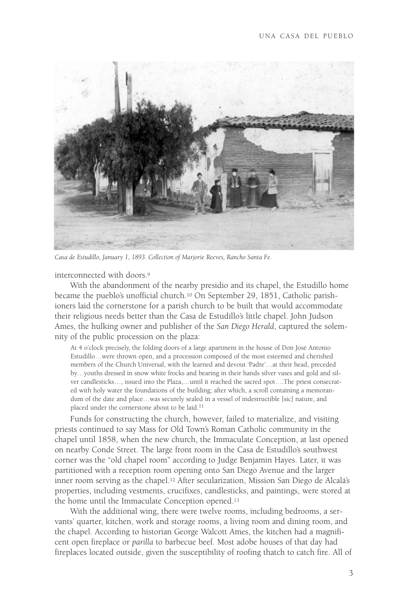

*Casa de Estudillo, January 1, 1893. Collection of Marjorie Reeves, Rancho Santa Fe.*

interconnected with doors.9

With the abandonment of the nearby presidio and its chapel, the Estudillo home became the pueblo's unofficial church.10 On September 29, 1851, Catholic parishioners laid the cornerstone for a parish church to be built that would accommodate their religious needs better than the Casa de Estudillo's little chapel. John Judson Ames, the hulking owner and publisher of the *San Diego Herald*, captured the solemnity of the public procession on the plaza:

At 4 o'clock precisely, the folding doors of a large apartment in the house of Don José Antonio Estudillo…were thrown open, and a procession composed of the most esteemed and cherished members of the Church Universal, with the learned and devout 'Padre'…at their head, preceded by…youths dressed in snow white frocks and bearing in their hands silver vases and gold and silver candlesticks..., issued into the Plaza,...until it reached the sacred spot....The priest consecrated with holy water the foundations of the building; after which, a scroll containing a memorandum of the date and place…was securely sealed in a vessel of indestructible [sic] nature, and placed under the cornerstone about to be laid.<sup>11</sup>

Funds for constructing the church, however, failed to materialize, and visiting priests continued to say Mass for Old Town's Roman Catholic community in the chapel until 1858, when the new church, the Immaculate Conception, at last opened on nearby Conde Street. The large front room in the Casa de Estudillo's southwest corner was the "old chapel room" according to Judge Benjamin Hayes. Later, it was partitioned with a reception room opening onto San Diego Avenue and the larger inner room serving as the chapel.12 After secularization, Mission San Diego de Alcalá's properties, including vestments, crucifixes, candlesticks, and paintings, were stored at the home until the Immaculate Conception opened.13

With the additional wing, there were twelve rooms, including bedrooms, a servants' quarter, kitchen, work and storage rooms, a living room and dining room, and the chapel. According to historian George Walcott Ames, the kitchen had a magnificent open fireplace or *parilla* to barbecue beef. Most adobe houses of that day had fireplaces located outside, given the susceptibility of roofing thatch to catch fire. All of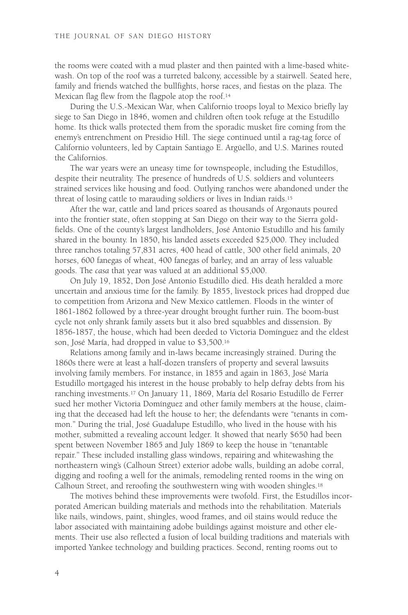the rooms were coated with a mud plaster and then painted with a lime-based whitewash. On top of the roof was a turreted balcony, accessible by a stairwell. Seated here, family and friends watched the bullfights, horse races, and fiestas on the plaza. The Mexican flag flew from the flagpole atop the roof.14

During the U.S.-Mexican War, when Californio troops loyal to Mexico briefly lay siege to San Diego in 1846, women and children often took refuge at the Estudillo home. Its thick walls protected them from the sporadic musket fire coming from the enemy's entrenchment on Presidio Hill. The siege continued until a rag-tag force of Californio volunteers, led by Captain Santiago E. Argüello, and U.S. Marines routed the Californios.

The war years were an uneasy time for townspeople, including the Estudillos, despite their neutrality. The presence of hundreds of U.S. soldiers and volunteers strained services like housing and food. Outlying ranchos were abandoned under the threat of losing cattle to marauding soldiers or lives in Indian raids.15

After the war, cattle and land prices soared as thousands of Argonauts poured into the frontier state, often stopping at San Diego on their way to the Sierra goldfields. One of the county's largest landholders, José Antonio Estudillo and his family shared in the bounty. In 1850, his landed assets exceeded \$25,000. They included three ranchos totaling 57,831 acres, 400 head of cattle, 300 other field animals, 20 horses, 600 fanegas of wheat, 400 fanegas of barley, and an array of less valuable goods. The *casa* that year was valued at an additional \$5,000.

On July 19, 1852, Don José Antonio Estudillo died. His death heralded a more uncertain and anxious time for the family. By 1855, livestock prices had dropped due to competition from Arizona and New Mexico cattlemen. Floods in the winter of 1861-1862 followed by a three-year drought brought further ruin. The boom-bust cycle not only shrank family assets but it also bred squabbles and dissension. By 1856-1857, the house, which had been deeded to Victoria Domínguez and the eldest son, José María, had dropped in value to \$3,500.16

Relations among family and in-laws became increasingly strained. During the 1860s there were at least a half-dozen transfers of property and several lawsuits involving family members. For instance, in 1855 and again in 1863, José María Estudillo mortgaged his interest in the house probably to help defray debts from his ranching investments.17 On January 11, 1869, María del Rosario Estudillo de Ferrer sued her mother Victoria Domínguez and other family members at the house, claiming that the deceased had left the house to her; the defendants were "tenants in common." During the trial, José Guadalupe Estudillo, who lived in the house with his mother, submitted a revealing account ledger. It showed that nearly \$650 had been spent between November 1865 and July 1869 to keep the house in "tenantable repair." These included installing glass windows, repairing and whitewashing the northeastern wing's (Calhoun Street) exterior adobe walls, building an adobe corral, digging and roofing a well for the animals, remodeling rented rooms in the wing on Calhoun Street, and reroofing the southwestern wing with wooden shingles.18

The motives behind these improvements were twofold. First, the Estudillos incorporated American building materials and methods into the rehabilitation. Materials like nails, windows, paint, shingles, wood frames, and oil stains would reduce the labor associated with maintaining adobe buildings against moisture and other elements. Their use also reflected a fusion of local building traditions and materials with imported Yankee technology and building practices. Second, renting rooms out to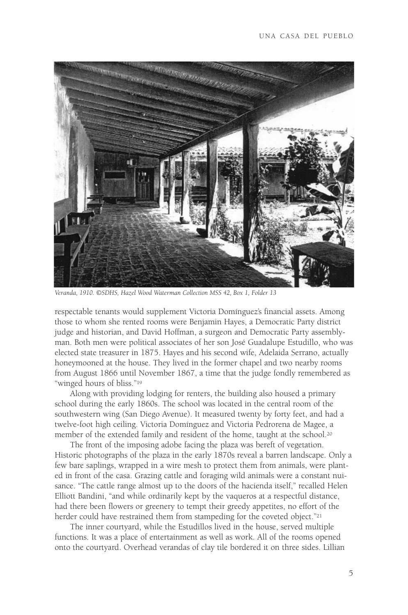

*Veranda, 1910. ©SDHS, Hazel Wood Waterman Collection MSS 42, Box 1, Folder 13*

respectable tenants would supplement Victoria Domínguez's financial assets. Among those to whom she rented rooms were Benjamin Hayes, a Democratic Party district judge and historian, and David Hoffman, a surgeon and Democratic Party assemblyman. Both men were political associates of her son José Guadalupe Estudillo, who was elected state treasurer in 1875. Hayes and his second wife, Adelaida Serrano, actually honeymooned at the house. They lived in the former chapel and two nearby rooms from August 1866 until November 1867, a time that the judge fondly remembered as "winged hours of bliss."<sup>19</sup>

Along with providing lodging for renters, the building also housed a primary school during the early 1860s. The school was located in the central room of the southwestern wing (San Diego Avenue). It measured twenty by forty feet, and had a twelve-foot high ceiling. Victoria Domínguez and Victoria Pedrorena de Magee, a member of the extended family and resident of the home, taught at the school.20

The front of the imposing adobe facing the plaza was bereft of vegetation. Historic photographs of the plaza in the early 1870s reveal a barren landscape. Only a few bare saplings, wrapped in a wire mesh to protect them from animals, were planted in front of the casa. Grazing cattle and foraging wild animals were a constant nuisance. "The cattle range almost up to the doors of the hacienda itself," recalled Helen Elliott Bandini, "and while ordinarily kept by the vaqueros at a respectful distance, had there been flowers or greenery to tempt their greedy appetites, no effort of the herder could have restrained them from stampeding for the coveted object."<sup>21</sup>

The inner courtyard, while the Estudillos lived in the house, served multiple functions. It was a place of entertainment as well as work. All of the rooms opened onto the courtyard. Overhead verandas of clay tile bordered it on three sides. Lillian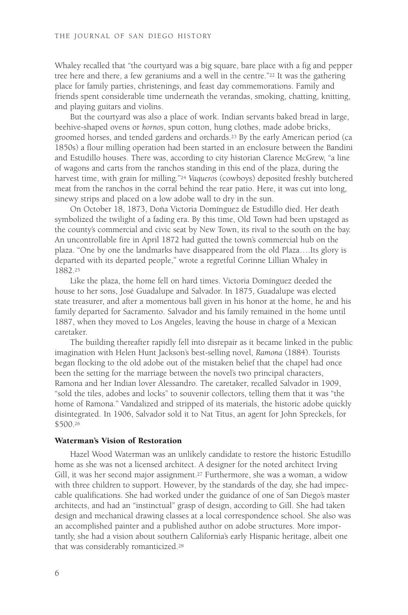Whaley recalled that "the courtyard was a big square, bare place with a fig and pepper tree here and there, a few geraniums and a well in the centre."22 It was the gathering place for family parties, christenings, and feast day commemorations. Family and friends spent considerable time underneath the verandas, smoking, chatting, knitting, and playing guitars and violins.

But the courtyard was also a place of work. Indian servants baked bread in large, beehive-shaped ovens or *hornos*, spun cotton, hung clothes, made adobe bricks, groomed horses, and tended gardens and orchards.23 By the early American period (ca 1850s) a flour milling operation had been started in an enclosure between the Bandini and Estudillo houses. There was, according to city historian Clarence McGrew, "a line of wagons and carts from the ranchos standing in this end of the plaza, during the harvest time, with grain for milling."24 *Vaqueros* (cowboys) deposited freshly butchered meat from the ranchos in the corral behind the rear patio. Here, it was cut into long, sinewy strips and placed on a low adobe wall to dry in the sun.

On October 18, 1873, Doña Victoria Domínguez de Estudillo died. Her death symbolized the twilight of a fading era. By this time, Old Town had been upstaged as the county's commercial and civic seat by New Town, its rival to the south on the bay. An uncontrollable fire in April 1872 had gutted the town's commercial hub on the plaza. "One by one the landmarks have disappeared from the old Plaza….Its glory is departed with its departed people," wrote a regretful Corinne Lillian Whaley in 1882.25

Like the plaza, the home fell on hard times. Victoria Domínguez deeded the house to her sons, José Guadalupe and Salvador. In 1875, Guadalupe was elected state treasurer, and after a momentous ball given in his honor at the home, he and his family departed for Sacramento. Salvador and his family remained in the home until 1887, when they moved to Los Angeles, leaving the house in charge of a Mexican caretaker.

The building thereafter rapidly fell into disrepair as it became linked in the public imagination with Helen Hunt Jackson's best-selling novel, *Ramona* (1884). Tourists began flocking to the old adobe out of the mistaken belief that the chapel had once been the setting for the marriage between the novel's two principal characters, Ramona and her Indian lover Alessandro. The caretaker, recalled Salvador in 1909, "sold the tiles, adobes and locks" to souvenir collectors, telling them that it was "the home of Ramona." Vandalized and stripped of its materials, the historic adobe quickly disintegrated. In 1906, Salvador sold it to Nat Titus, an agent for John Spreckels, for \$500.26

#### Waterman's Vision of Restoration

Hazel Wood Waterman was an unlikely candidate to restore the historic Estudillo home as she was not a licensed architect. A designer for the noted architect Irving Gill, it was her second major assignment.<sup>27</sup> Furthermore, she was a woman, a widow with three children to support. However, by the standards of the day, she had impeccable qualifications. She had worked under the guidance of one of San Diego's master architects, and had an "instinctual" grasp of design, according to Gill. She had taken design and mechanical drawing classes at a local correspondence school. She also was an accomplished painter and a published author on adobe structures. More importantly, she had a vision about southern California's early Hispanic heritage, albeit one that was considerably romanticized.28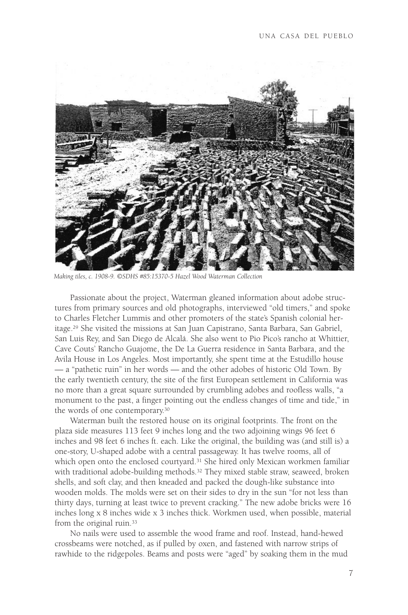

*Making tiles, c. 1908-9. ©SDHS #85:15370-5 Hazel Wood Waterman Collection*

Passionate about the project, Waterman gleaned information about adobe structures from primary sources and old photographs, interviewed "old timers," and spoke to Charles Fletcher Lummis and other promoters of the state's Spanish colonial heritage.29 She visited the missions at San Juan Capistrano, Santa Barbara, San Gabriel, San Luis Rey, and San Diego de Alcalá. She also went to Pio Pico's rancho at Whittier, Cave Couts' Rancho Guajome, the De La Guerra residence in Santa Barbara, and the Avila House in Los Angeles. Most importantly, she spent time at the Estudillo house — a "pathetic ruin" in her words — and the other adobes of historic Old Town. By the early twentieth century, the site of the first European settlement in California was no more than a great square surrounded by crumbling adobes and roofless walls, "a monument to the past, a finger pointing out the endless changes of time and tide," in the words of one contemporary.30

Waterman built the restored house on its original footprints. The front on the plaza side measures 113 feet 9 inches long and the two adjoining wings 96 feet 6 inches and 98 feet 6 inches ft. each. Like the original, the building was (and still is) a one-story, U-shaped adobe with a central passageway. It has twelve rooms, all of which open onto the enclosed courtyard.<sup>31</sup> She hired only Mexican workmen familiar with traditional adobe-building methods.32 They mixed stable straw, seaweed, broken shells, and soft clay, and then kneaded and packed the dough-like substance into wooden molds. The molds were set on their sides to dry in the sun "for not less than thirty days, turning at least twice to prevent cracking." The new adobe bricks were 16 inches long x 8 inches wide x 3 inches thick. Workmen used, when possible, material from the original ruin.33

No nails were used to assemble the wood frame and roof. Instead, hand-hewed crossbeams were notched, as if pulled by oxen, and fastened with narrow strips of rawhide to the ridgepoles. Beams and posts were "aged" by soaking them in the mud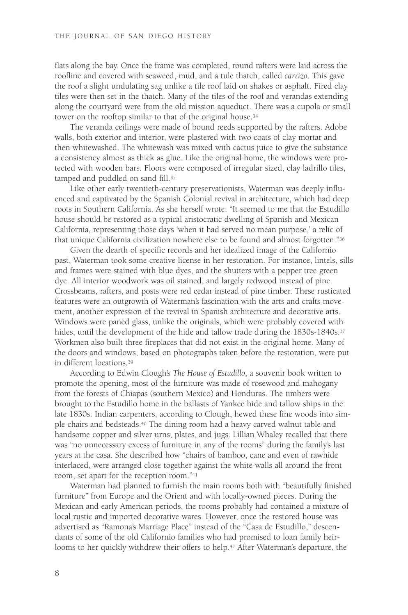flats along the bay. Once the frame was completed, round rafters were laid across the roofline and covered with seaweed, mud, and a tule thatch, called *carrizo*. This gave the roof a slight undulating sag unlike a tile roof laid on shakes or asphalt. Fired clay tiles were then set in the thatch. Many of the tiles of the roof and verandas extending along the courtyard were from the old mission aqueduct. There was a cupola or small tower on the rooftop similar to that of the original house.34

The veranda ceilings were made of bound reeds supported by the rafters. Adobe walls, both exterior and interior, were plastered with two coats of clay mortar and then whitewashed. The whitewash was mixed with cactus juice to give the substance a consistency almost as thick as glue. Like the original home, the windows were protected with wooden bars. Floors were composed of irregular sized, clay ladrillo tiles, tamped and puddled on sand fill.35

Like other early twentieth-century preservationists, Waterman was deeply influenced and captivated by the Spanish Colonial revival in architecture, which had deep roots in Southern California. As she herself wrote: "It seemed to me that the Estudillo house should be restored as a typical aristocratic dwelling of Spanish and Mexican California, representing those days 'when it had served no mean purpose,' a relic of that unique California civilization nowhere else to be found and almost forgotten."36

Given the dearth of specific records and her idealized image of the Californio past, Waterman took some creative license in her restoration. For instance, lintels, sills and frames were stained with blue dyes, and the shutters with a pepper tree green dye. All interior woodwork was oil stained, and largely redwood instead of pine. Crossbeams, rafters, and posts were red cedar instead of pine timber. These rusticated features were an outgrowth of Waterman's fascination with the arts and crafts movement, another expression of the revival in Spanish architecture and decorative arts. Windows were paned glass, unlike the originals, which were probably covered with hides, until the development of the hide and tallow trade during the 1830s-1840s.<sup>37</sup> Workmen also built three fireplaces that did not exist in the original home. Many of the doors and windows, based on photographs taken before the restoration, were put in different locations.39

According to Edwin Clough's *The House of Estudillo*, a souvenir book written to promote the opening, most of the furniture was made of rosewood and mahogany from the forests of Chiapas (southern Mexico) and Honduras. The timbers were brought to the Estudillo home in the ballasts of Yankee hide and tallow ships in the late 1830s. Indian carpenters, according to Clough, hewed these fine woods into simple chairs and bedsteads.40 The dining room had a heavy carved walnut table and handsome copper and silver urns, plates, and jugs. Lillian Whaley recalled that there was "no unnecessary excess of furniture in any of the rooms" during the family's last years at the casa. She described how "chairs of bamboo, cane and even of rawhide interlaced, were arranged close together against the white walls all around the front room, set apart for the reception room."41

Waterman had planned to furnish the main rooms both with "beautifully finished furniture" from Europe and the Orient and with locally-owned pieces. During the Mexican and early American periods, the rooms probably had contained a mixture of local rustic and imported decorative wares. However, once the restored house was advertised as "Ramona's Marriage Place" instead of the "Casa de Estudillo," descendants of some of the old Californio families who had promised to loan family heirlooms to her quickly withdrew their offers to help.<sup>42</sup> After Waterman's departure, the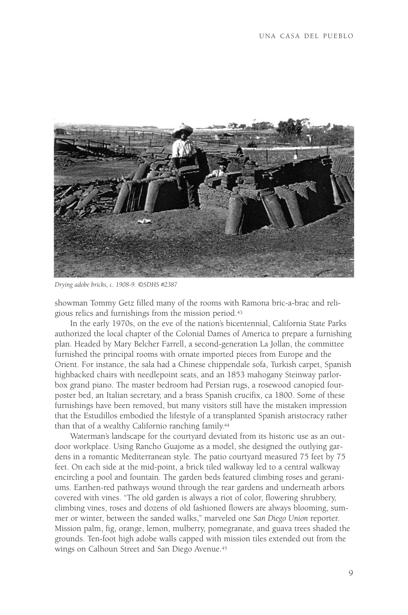

*Drying adobe bricks, c. 1908-9. ©SDHS #2387* 

showman Tommy Getz filled many of the rooms with Ramona bric-a-brac and religious relics and furnishings from the mission period.43

In the early 1970s, on the eve of the nation's bicentennial, California State Parks authorized the local chapter of the Colonial Dames of America to prepare a furnishing plan. Headed by Mary Belcher Farrell, a second-generation La Jollan, the committee furnished the principal rooms with ornate imported pieces from Europe and the Orient. For instance, the sala had a Chinese chippendale sofa, Turkish carpet, Spanish highbacked chairs with needlepoint seats, and an 1853 mahogany Steinway parlorbox grand piano. The master bedroom had Persian rugs, a rosewood canopied fourposter bed, an Italian secretary, and a brass Spanish crucifix, ca 1800. Some of these furnishings have been removed, but many visitors still have the mistaken impression that the Estudillos embodied the lifestyle of a transplanted Spanish aristocracy rather than that of a wealthy Californio ranching family.<sup>44</sup>

Waterman's landscape for the courtyard deviated from its historic use as an outdoor workplace. Using Rancho Guajome as a model, she designed the outlying gardens in a romantic Mediterranean style. The patio courtyard measured 75 feet by 75 feet. On each side at the mid-point, a brick tiled walkway led to a central walkway encircling a pool and fountain. The garden beds featured climbing roses and geraniums. Earthen-red pathways wound through the rear gardens and underneath arbors covered with vines. "The old garden is always a riot of color, flowering shrubbery, climbing vines, roses and dozens of old fashioned flowers are always blooming, summer or winter, between the sanded walks," marveled one *San Diego Union* reporter. Mission palm, fig, orange, lemon, mulberry, pomegranate, and guava trees shaded the grounds. Ten-foot high adobe walls capped with mission tiles extended out from the wings on Calhoun Street and San Diego Avenue.45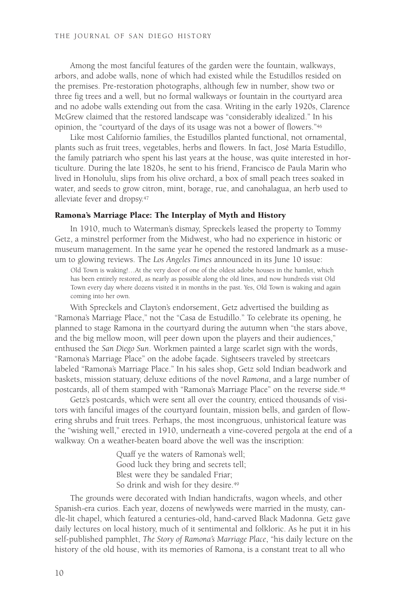Among the most fanciful features of the garden were the fountain, walkways, arbors, and adobe walls, none of which had existed while the Estudillos resided on the premises. Pre-restoration photographs, although few in number, show two or three fig trees and a well, but no formal walkways or fountain in the courtyard area and no adobe walls extending out from the casa. Writing in the early 1920s, Clarence McGrew claimed that the restored landscape was "considerably idealized." In his opinion, the "courtyard of the days of its usage was not a bower of flowers."46

Like most Californio families, the Estudillos planted functional, not ornamental, plants such as fruit trees, vegetables, herbs and flowers. In fact, José María Estudillo, the family patriarch who spent his last years at the house, was quite interested in horticulture. During the late 1820s, he sent to his friend, Francisco de Paula Marin who lived in Honolulu, slips from his olive orchard, a box of small peach trees soaked in water, and seeds to grow citron, mint, borage, rue, and canohalagua, an herb used to alleviate fever and dropsy.47

#### Ramona's Marriage Place: The Interplay of Myth and History

In 1910, much to Waterman's dismay, Spreckels leased the property to Tommy Getz, a minstrel performer from the Midwest, who had no experience in historic or museum management. In the same year he opened the restored landmark as a museum to glowing reviews. The *Los Angeles Times* announced in its June 10 issue:

Old Town is waking!…At the very door of one of the oldest adobe houses in the hamlet, which has been entirely restored, as nearly as possible along the old lines, and now hundreds visit Old Town every day where dozens visited it in months in the past. Yes, Old Town is waking and again coming into her own.

With Spreckels and Clayton's endorsement, Getz advertised the building as "Ramona's Marriage Place," not the "Casa de Estudillo." To celebrate its opening, he planned to stage Ramona in the courtyard during the autumn when "the stars above, and the big mellow moon, will peer down upon the players and their audiences," enthused the *San Diego Sun*. Workmen painted a large scarlet sign with the words, "Ramona's Marriage Place" on the adobe façade. Sightseers traveled by streetcars labeled "Ramona's Marriage Place." In his sales shop, Getz sold Indian beadwork and baskets, mission statuary, deluxe editions of the novel *Ramona*, and a large number of postcards, all of them stamped with "Ramona's Marriage Place" on the reverse side.<sup>48</sup>

Getz's postcards, which were sent all over the country, enticed thousands of visitors with fanciful images of the courtyard fountain, mission bells, and garden of flowering shrubs and fruit trees. Perhaps, the most incongruous, unhistorical feature was the "wishing well," erected in 1910, underneath a vine-covered pergola at the end of a walkway. On a weather-beaten board above the well was the inscription:

> Quaff ye the waters of Ramona's well; Good luck they bring and secrets tell; Blest were they be sandaled Friar; So drink and wish for they desire.<sup>49</sup>

The grounds were decorated with Indian handicrafts, wagon wheels, and other Spanish-era curios. Each year, dozens of newlyweds were married in the musty, candle-lit chapel, which featured a centuries-old, hand-carved Black Madonna. Getz gave daily lectures on local history, much of it sentimental and folkloric. As he put it in his self-published pamphlet, *The Story of Ramona's Marriage Place*, "his daily lecture on the history of the old house, with its memories of Ramona, is a constant treat to all who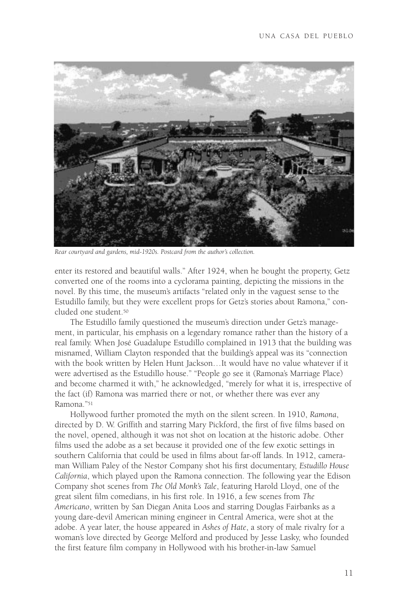

*Rear courtyard and gardens, mid-1920s. Postcard from the author's collection.*

enter its restored and beautiful walls." After 1924, when he bought the property, Getz converted one of the rooms into a cyclorama painting, depicting the missions in the novel. By this time, the museum's artifacts "related only in the vaguest sense to the Estudillo family, but they were excellent props for Getz's stories about Ramona," concluded one student.50

The Estudillo family questioned the museum's direction under Getz's management, in particular, his emphasis on a legendary romance rather than the history of a real family. When José Guadalupe Estudillo complained in 1913 that the building was misnamed, William Clayton responded that the building's appeal was its "connection with the book written by Helen Hunt Jackson…It would have no value whatever if it were advertised as the Estudillo house." "People go see it (Ramona's Marriage Place) and become charmed it with," he acknowledged, "merely for what it is, irrespective of the fact (if) Ramona was married there or not, or whether there was ever any Ramona."51

Hollywood further promoted the myth on the silent screen. In 1910, *Ramona*, directed by D. W. Griffith and starring Mary Pickford, the first of five films based on the novel, opened, although it was not shot on location at the historic adobe. Other films used the adobe as a set because it provided one of the few exotic settings in southern California that could be used in films about far-off lands. In 1912, cameraman William Paley of the Nestor Company shot his first documentary, *Estudillo House California*, which played upon the Ramona connection. The following year the Edison Company shot scenes from *The Old Monk's Tale*, featuring Harold Lloyd, one of the great silent film comedians, in his first role. In 1916, a few scenes from *The Americano*, written by San Diegan Anita Loos and starring Douglas Fairbanks as a young dare-devil American mining engineer in Central America, were shot at the adobe. A year later, the house appeared in *Ashes of Hate*, a story of male rivalry for a woman's love directed by George Melford and produced by Jesse Lasky, who founded the first feature film company in Hollywood with his brother-in-law Samuel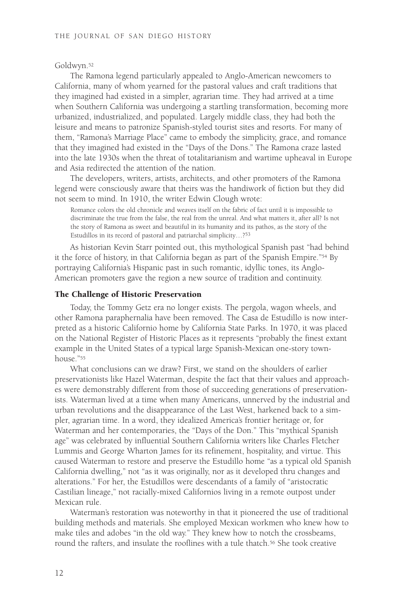#### Goldwyn.52

The Ramona legend particularly appealed to Anglo-American newcomers to California, many of whom yearned for the pastoral values and craft traditions that they imagined had existed in a simpler, agrarian time. They had arrived at a time when Southern California was undergoing a startling transformation, becoming more urbanized, industrialized, and populated. Largely middle class, they had both the leisure and means to patronize Spanish-styled tourist sites and resorts. For many of them, "Ramona's Marriage Place" came to embody the simplicity, grace, and romance that they imagined had existed in the "Days of the Dons." The Ramona craze lasted into the late 1930s when the threat of totalitarianism and wartime upheaval in Europe and Asia redirected the attention of the nation.

The developers, writers, artists, architects, and other promoters of the Ramona legend were consciously aware that theirs was the handiwork of fiction but they did not seem to mind. In 1910, the writer Edwin Clough wrote:

Romance colors the old chronicle and weaves itself on the fabric of fact until it is impossible to discriminate the true from the false, the real from the unreal. And what matters it, after all? Is not the story of Ramona as sweet and beautiful in its humanity and its pathos, as the story of the Estudillos in its record of pastoral and patriarchal simplicity…?53

As historian Kevin Starr pointed out, this mythological Spanish past "had behind it the force of history, in that California began as part of the Spanish Empire."54 By portraying California's Hispanic past in such romantic, idyllic tones, its Anglo-American promoters gave the region a new source of tradition and continuity.

#### The Challenge of Historic Preservation

Today, the Tommy Getz era no longer exists. The pergola, wagon wheels, and other Ramona paraphernalia have been removed. The Casa de Estudillo is now interpreted as a historic Californio home by California State Parks. In 1970, it was placed on the National Register of Historic Places as it represents "probably the finest extant example in the United States of a typical large Spanish-Mexican one-story townhouse<sup>"55</sup>

What conclusions can we draw? First, we stand on the shoulders of earlier preservationists like Hazel Waterman, despite the fact that their values and approaches were demonstrably different from those of succeeding generations of preservationists. Waterman lived at a time when many Americans, unnerved by the industrial and urban revolutions and the disappearance of the Last West, harkened back to a simpler, agrarian time. In a word, they idealized America's frontier heritage or, for Waterman and her contemporaries, the "Days of the Don." This "mythical Spanish age" was celebrated by influential Southern California writers like Charles Fletcher Lummis and George Wharton James for its refinement, hospitality, and virtue. This caused Waterman to restore and preserve the Estudillo home "as a typical old Spanish California dwelling," not "as it was originally, nor as it developed thru changes and alterations." For her, the Estudillos were descendants of a family of "aristocratic Castilian lineage," not racially-mixed Californios living in a remote outpost under Mexican rule.

Waterman's restoration was noteworthy in that it pioneered the use of traditional building methods and materials. She employed Mexican workmen who knew how to make tiles and adobes "in the old way." They knew how to notch the crossbeams, round the rafters, and insulate the rooflines with a tule thatch.56 She took creative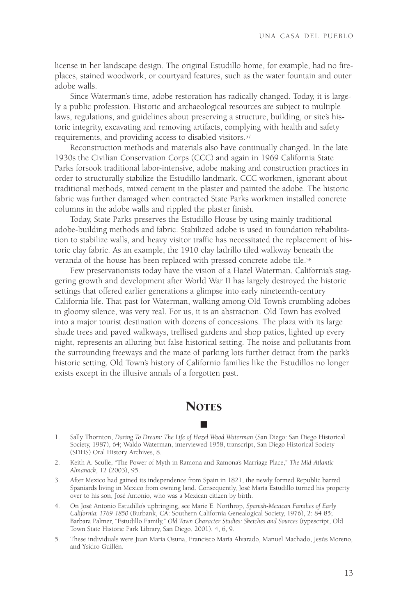license in her landscape design. The original Estudillo home, for example, had no fireplaces, stained woodwork, or courtyard features, such as the water fountain and outer adobe walls.

Since Waterman's time, adobe restoration has radically changed. Today, it is largely a public profession. Historic and archaeological resources are subject to multiple laws, regulations, and guidelines about preserving a structure, building, or site's historic integrity, excavating and removing artifacts, complying with health and safety requirements, and providing access to disabled visitors.57

Reconstruction methods and materials also have continually changed. In the late 1930s the Civilian Conservation Corps (CCC) and again in 1969 California State Parks forsook traditional labor-intensive, adobe making and construction practices in order to structurally stabilize the Estudillo landmark. CCC workmen, ignorant about traditional methods, mixed cement in the plaster and painted the adobe. The historic fabric was further damaged when contracted State Parks workmen installed concrete columns in the adobe walls and rippled the plaster finish.

Today, State Parks preserves the Estudillo House by using mainly traditional adobe-building methods and fabric. Stabilized adobe is used in foundation rehabilitation to stabilize walls, and heavy visitor traffic has necessitated the replacement of historic clay fabric. As an example, the 1910 clay ladrillo tiled walkway beneath the veranda of the house has been replaced with pressed concrete adobe tile.<sup>58</sup>

Few preservationists today have the vision of a Hazel Waterman. California's staggering growth and development after World War II has largely destroyed the historic settings that offered earlier generations a glimpse into early nineteenth-century California life. That past for Waterman, walking among Old Town's crumbling adobes in gloomy silence, was very real. For us, it is an abstraction. Old Town has evolved into a major tourist destination with dozens of concessions. The plaza with its large shade trees and paved walkways, trellised gardens and shop patios, lighted up every night, represents an alluring but false historical setting. The noise and pollutants from the surrounding freeways and the maze of parking lots further detract from the park's historic setting. Old Town's history of Californio families like the Estudillos no longer exists except in the illusive annals of a forgotten past.

## **NOTES** ■

- 1. Sally Thornton, *Daring To Dream: The Life of Hazel Wood Waterman* (San Diego: San Diego Historical Society, 1987), 64; Waldo Waterman, interviewed 1958, transcript, San Diego Historical Society (SDHS) Oral History Archives, 8.
- 2. Keith A. Sculle, "The Power of Myth in Ramona and Ramona's Marriage Place," *The Mid-Atlantic Almanack*, 12 (2003), 95.
- 3. After Mexico had gained its independence from Spain in 1821, the newly formed Republic barred Spaniards living in Mexico from owning land. Consequently, José María Estudillo turned his property over to his son, José Antonio, who was a Mexican citizen by birth.
- 4. On José Antonio Estudillo's upbringing, see Marie E. Northrop, *Spanish-Mexican Families of Early California: 1769-1850* (Burbank, CA: Southern California Genealogical Society, 1976), 2: 84-85; Barbara Palmer, "Estudillo Family," *Old Town Character Studies: Sketches and Sources* (typescript, Old Town State Historic Park Library, San Diego, 2001), 4, 6, 9.
- 5. These individuals were Juan María Osuna, Francisco María Alvarado, Manuel Machado, Jesús Moreno, and Ysidro Guillén.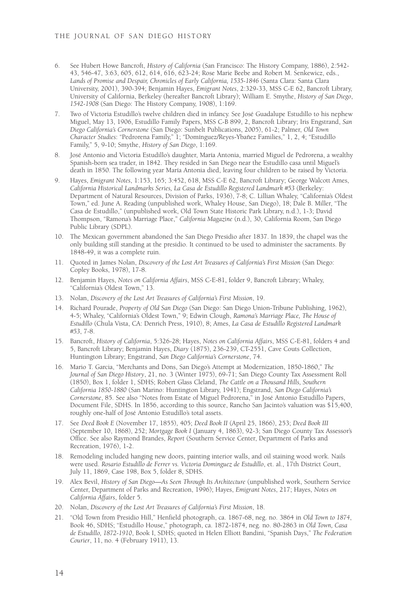- 6. See Hubert Howe Bancroft, *History of California* (San Francisco: The History Company, 1886), 2:542- 43, 546-47, 3:63, 605, 612, 614, 616, 623-24; Rose Marie Beebe and Robert M. Senkewicz, eds., *Lands of Promise and Despair, Chronicles of Early California, 1535-1846* (Santa Clara: Santa Clara University, 2001), 390-394; Benjamin Hayes, *Emigrant Notes*, 2:329-33, MSS C-E 62, Bancroft Library, University of California, Berkeley (hereafter Bancroft Library); William E. Smythe, *History of San Diego*, *1542-1908* (San Diego: The History Company, 1908), 1:169.
- 7. Two of Victoria Estudillo's twelve children died in infancy. See José Guadalupe Estudillo to his nephew Miguel, May 13, 1906, Estudillo Family Papers, MSS C-B 899, 2, Bancroft Library; Iris Engstrand, *San Diego California's Cornerstone* (San Diego: Sunbelt Publications, 2005), 61-2; Palmer, *Old Town Character Studies*: "Pedrorena Family," 1; "Domínguez/Reyes-Ybañez Families," 1, 2, 4; "Estudillo Family," 5, 9-10; Smythe, *History of San Diego*, 1:169.
- 8. José Antonio and Victoria Estudillo's daughter, María Antonia, married Miguel de Pedrorena, a wealthy Spanish-born sea trader, in 1842. They resided in San Diego near the Estudillo casa until Miguel's death in 1850. The following year María Antonia died, leaving four children to be raised by Victoria.
- 9. Hayes, *Emigrant Notes*, 1:153, 165; 3:452, 618, MSS C-E 62, Bancroft Library; George Walcott Ames, *California Historical Landmarks Series, La Casa de Estudillo Registered Landmark #53* (Berkeley: Department of Natural Resources, Division of Parks, 1936), 7-8; C. Lillian Whaley, "California's Oldest Town," ed. June A. Reading (unpublished work, Whaley House, San Diego), 18; Dale B. Miller, "The Casa de Estudillo," (unpublished work, Old Town State Historic Park Library, n.d.), 1-3; David Thompson, "Ramona's Marriage Place," *California Magazine* (n.d.), 30, California Room, San Diego Public Library (SDPL).
- 10. The Mexican government abandoned the San Diego Presidio after 1837. In 1839, the chapel was the only building still standing at the presidio. It continued to be used to administer the sacraments. By 1848-49, it was a complete ruin.
- 11. Quoted in James Nolan, *Discovery of the Lost Art Treasures of California's First Mission* (San Diego: Copley Books, 1978), 17-8.
- 12. Benjamin Hayes, *Notes on California Affairs*, MSS C-E-81, folder 9, Bancroft Library; Whaley, "California's Oldest Town," 13.
- 13. Nolan, *Discovery of the Lost Art Treasures of California's First Mission*, 19.
- 14. Richard Pourade, *Property of Old San Diego* (San Diego: San Diego Union-Tribune Publishing, 1962), 4-5; Whaley, "California's Oldest Town," 9; Edwin Clough, *Ramona's Marriage Place, The House of Estudillo* (Chula Vista, CA: Denrich Press, 1910), 8; Ames, *La Casa de Estudillo Registered Landmark #53*, 7-8.
- 15. Bancroft, *History of California*, 5:326-28; Hayes, *Notes on California Affairs*, MSS C-E-81, folders 4 and 5, Bancroft Library; Benjamin Hayes, *Diary* (1875), 236-239, CT-2551, Cave Couts Collection, Huntington Library; Engstrand, *San Diego California's Cornerstone*, 74.
- 16. Mario T. Garcia, "Merchants and Dons, San Diego's Attempt at Modernization, 1850-1860," *The Journal of San Diego History*, 21, no. 3 (Winter 1975), 69-71; San Diego County Tax Assessment Roll (1850), Box 1, folder 1, SDHS; Robert Glass Cleland, *The Cattle on a Thousand Hills, Southern California 1850-1880* (San Marino: Huntington Library, 1941); Engstrand, *San Diego California's Cornerstone*, 85. See also "Notes from Estate of Miguel Pedrorena," in José Antonio Estudillo Papers, Document File, SDHS. In 1856, according to this source, Rancho San Jacinto's valuation was \$15,400, roughly one-half of José Antonio Estudillo's total assets.
- 17. See *Deed Book E* (November 17, 1855), 405; *Deed Book II* (April 25, 1866), 253; *Deed Book III* (September 10, 1868), 252; *Mortgage Book I* (January 4, 1863), 92-3; San Diego County Tax Assessor's Office. See also Raymond Brandes, *Report* (Southern Service Center, Department of Parks and Recreation, 1976), 1-2.
- 18. Remodeling included hanging new doors, painting interior walls, and oil staining wood work. Nails were used. *Rosario Estudillo de Ferrer vs. Victoria Dominguez de Estudillo*, et. al., 17th District Court, July 11, 1869, Case 198, Box 5, folder 8, SDHS.
- 19. Alex Bevil, *History of San Diego—As Seen Through Its Architecture* (unpublished work, Southern Service Center, Department of Parks and Recreation, 1996); Hayes, *Emigrant Notes*, 217; Hayes, *Notes on California Affairs*, folder 5.
- 20. Nolan, *Discovery of the Lost Art Treasures of California's First Mission*, 18.
- 21. "Old Town from Presidio Hill," Henfield photograph, ca. 1867-68, neg. no. 3864 in *Old Town to 1874*, Book 46, SDHS; "Estudillo House," photograph, ca. 1872-1874, neg. no. 80-2863 in *Old Town, Casa de Estudillo, 1872-1910*, Book I, SDHS; quoted in Helen Elliott Bandini, "Spanish Days," *The Federation Courier*, 11, no. 4 (February 1911), 13.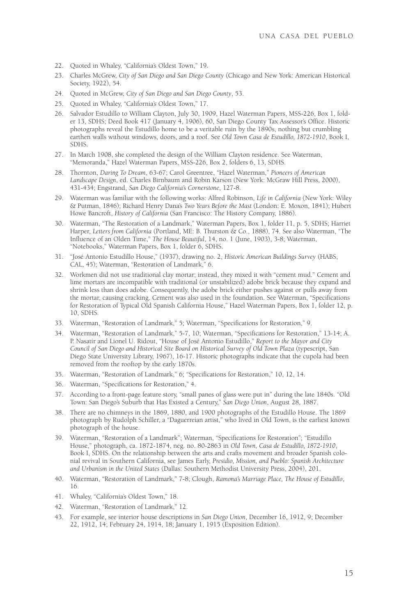- 22. Quoted in Whaley, "California's Oldest Town," 19.
- 23. Charles McGrew, *City of San Diego and San Diego County* (Chicago and New York: American Historical Society, 1922), 54.
- 24. Quoted in McGrew, *City of San Diego and San Diego County*, 53.
- 25. Quoted in Whaley, "California's Oldest Town," 17.
- 26. Salvador Estudillo to William Clayton, July 30, 1909, Hazel Waterman Papers, MSS-226, Box 1, folder 13, SDHS; Deed Book 417 (January 4, 1906), 60, San Diego County Tax Assessor's Office. Historic photographs reveal the Estudillo home to be a veritable ruin by the 1890s, nothing but crumbling earthen walls without windows, doors, and a roof. See *Old Town Casa de Estudillo, 1872-1910*, Book I, SDHS.
- 27. In March 1908, she completed the design of the William Clayton residence. See Waterman, "Memoranda," Hazel Waterman Papers, MSS-226, Box 2, folders 6, 13, SDHS.
- 28. Thornton, *Daring To Dream*, 63-67; Carol Greentree, "Hazel Waterman," *Pioneers of American Landscape Design*, ed. Charles Birnbaum and Robin Karson (New York: McGraw Hill Press, 2000), 431-434; Engstrand, *San Diego California's Cornerstone*, 127-8.
- 29. Waterman was familiar with the following works: Alfred Robinson, *Life in California* (New York: Wiley & Putman, 1846); Richard Henry Dana's *Two Years Before the Mast* (London: E. Moxon, 1841); Hubert Howe Bancroft, *History of California* (San Francisco: The History Company, 1886).
- 30. Waterman, "The Restoration of a Landmark," Waterman Papers, Box 1, folder 11, p. 5, SDHS; Harriet Harper, *Letters from California* (Portland, ME: B. Thurston & Co., 1888), 74. See also Waterman, "The Influence of an Olden Time," *The House Beautiful*, 14, no. 1 (June, 1903), 3-8; Waterman, "Notebooks," Waterman Papers, Box 1, folder 6, SDHS.
- 31. "José Antonio Estudillo House," (1937), drawing no. 2, *Historic American Buildings Survey* (HABS, CAL, 45); Waterman, "Restoration of Landmark," 6.
- 32. Workmen did not use traditional clay mortar; instead, they mixed it with "cement mud." Cement and lime mortars are incompatible with traditional (or unstabilized) adobe brick because they expand and shrink less than does adobe. Consequently, the adobe brick either pushes against or pulls away from the mortar, causing cracking. Cement was also used in the foundation. See Waterman, "Specifications for Restoration of Typical Old Spanish California House," Hazel Waterman Papers, Box 1, folder 12, p. 10, SDHS.
- 33. Waterman, "Restoration of Landmark," 5; Waterman, "Specifications for Restoration," 9.
- 34. Waterman, "Restoration of Landmark," 5-7, 10; Waterman, "Specifications for Restoration," 13-14; A. P. Nasatir and Lionel U. Ridout, "House of José Antonio Estudillo," *Report to the Mayor and City Council of San Diego and Historical Site Board on Historical Survey of Old Town Plaza* (typescript, San Diego State University Library, 1967), 16-17. Historic photographs indicate that the cupola had been removed from the rooftop by the early 1870s.
- 35. Waterman, "Restoration of Landmark," 6; "Specifications for Restoration," 10, 12, 14.
- 36. Waterman, "Specifications for Restoration," 4.
- 37. According to a front-page feature story, "small panes of glass were put in" during the late 1840s. "Old Town: San Diego's Suburb that Has Existed a Century," *San Diego Union*, August 28, 1887.
- 38. There are no chimneys in the 1869, 1880, and 1900 photographs of the Estudillo House. The 1869 photograph by Rudolph Schiller, a "Daguerreian artist," who lived in Old Town, is the earliest known photograph of the house.
- 39. Waterman, "Restoration of a Landmark"; Waterman, "Specifications for Restoration"; "Estudillo House," photograph, ca. 1872-1874, neg. no. 80-2863 in *Old Town, Casa de Estudillo, 1872-1910*, Book I, SDHS. On the relationship between the arts and crafts movement and broader Spanish colonial revival in Southern California, see James Early, *Presidio, Mission, and Pueblo: Spanish Architecture and Urbanism in the United States* (Dallas: Southern Methodist University Press, 2004), 201.
- 40. Waterman, "Restoration of Landmark," 7-8; Clough, *Ramona's Marriage Place, The House of Estudillo*, 16.
- 41. Whaley, "California's Oldest Town," 18.
- 42. Waterman, "Restoration of Landmark," 12.
- 43. For example, see interior house descriptions in *San Diego Union*, December 16, 1912, 9; December 22, 1912, 14; February 24, 1914, 18; January 1, 1915 (Exposition Edition).